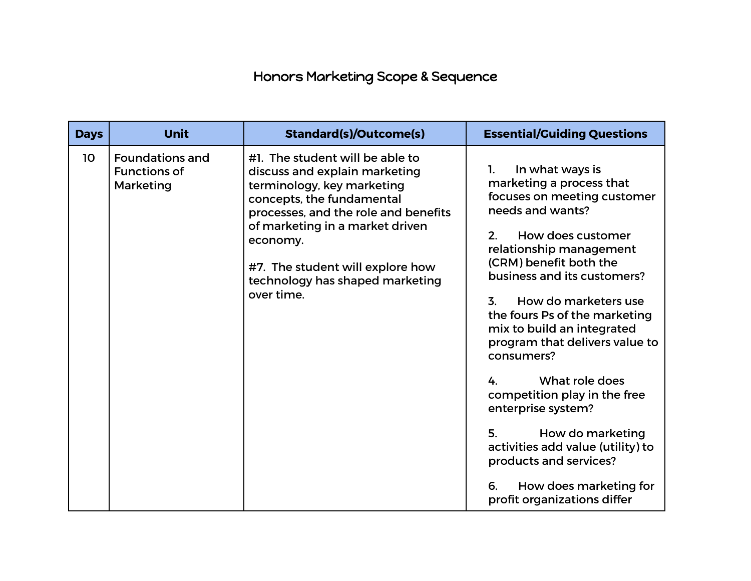## Honors Marketing Scope & Sequence

| <b>Days</b> | Unit                                                       | <b>Standard(s)/Outcome(s)</b>                                                                                                                                                                                                                                                                           | <b>Essential/Guiding Questions</b>                                                                                                                                                                                                                                                                                                                                                                                                                                                                                                                                                                                               |
|-------------|------------------------------------------------------------|---------------------------------------------------------------------------------------------------------------------------------------------------------------------------------------------------------------------------------------------------------------------------------------------------------|----------------------------------------------------------------------------------------------------------------------------------------------------------------------------------------------------------------------------------------------------------------------------------------------------------------------------------------------------------------------------------------------------------------------------------------------------------------------------------------------------------------------------------------------------------------------------------------------------------------------------------|
| 10          | <b>Foundations and</b><br><b>Functions of</b><br>Marketing | #1. The student will be able to<br>discuss and explain marketing<br>terminology, key marketing<br>concepts, the fundamental<br>processes, and the role and benefits<br>of marketing in a market driven<br>economy.<br>#7. The student will explore how<br>technology has shaped marketing<br>over time. | In what ways is<br>1.<br>marketing a process that<br>focuses on meeting customer<br>needs and wants?<br>How does customer<br>2 <sub>1</sub><br>relationship management<br>(CRM) benefit both the<br>business and its customers?<br>How do marketers use<br>$\overline{3}$ .<br>the fours Ps of the marketing<br>mix to build an integrated<br>program that delivers value to<br>consumers?<br>What role does<br>4.<br>competition play in the free<br>enterprise system?<br>5.<br>How do marketing<br>activities add value (utility) to<br>products and services?<br>How does marketing for<br>6.<br>profit organizations differ |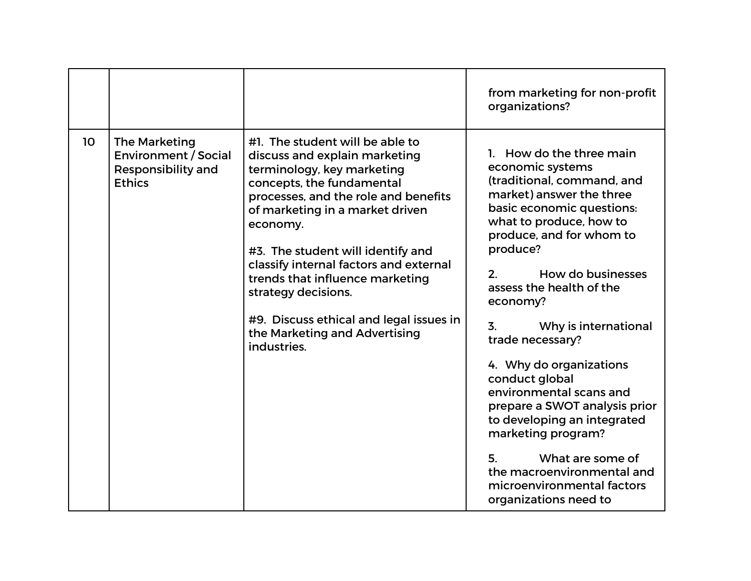|    |                                                                                                   |                                                                                                                                                                                                                                                                                                                                                                                                                                                        | from marketing for non-profit<br>organizations?                                                                                                                                                                                                                                                                                                                                                                                                                                                                                                                                                                     |
|----|---------------------------------------------------------------------------------------------------|--------------------------------------------------------------------------------------------------------------------------------------------------------------------------------------------------------------------------------------------------------------------------------------------------------------------------------------------------------------------------------------------------------------------------------------------------------|---------------------------------------------------------------------------------------------------------------------------------------------------------------------------------------------------------------------------------------------------------------------------------------------------------------------------------------------------------------------------------------------------------------------------------------------------------------------------------------------------------------------------------------------------------------------------------------------------------------------|
| 10 | <b>The Marketing</b><br><b>Environment / Social</b><br><b>Responsibility and</b><br><b>Ethics</b> | #1. The student will be able to<br>discuss and explain marketing<br>terminology, key marketing<br>concepts, the fundamental<br>processes, and the role and benefits<br>of marketing in a market driven<br>economy.<br>#3. The student will identify and<br>classify internal factors and external<br>trends that influence marketing<br>strategy decisions.<br>#9. Discuss ethical and legal issues in<br>the Marketing and Advertising<br>industries. | 1. How do the three main<br>economic systems<br>(traditional, command, and<br>market) answer the three<br>basic economic questions:<br>what to produce, how to<br>produce, and for whom to<br>produce?<br>How do businesses<br>$\mathcal{P}$<br>assess the health of the<br>economy?<br>3.<br>Why is international<br>trade necessary?<br>4. Why do organizations<br>conduct global<br>environmental scans and<br>prepare a SWOT analysis prior<br>to developing an integrated<br>marketing program?<br>What are some of<br>5.<br>the macroenvironmental and<br>microenvironmental factors<br>organizations need to |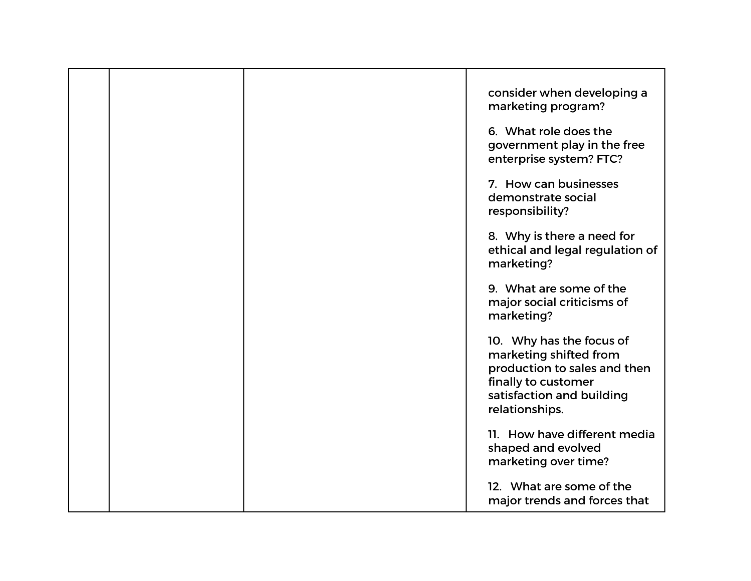|  | consider when developing a<br>marketing program?                                                                                                         |
|--|----------------------------------------------------------------------------------------------------------------------------------------------------------|
|  | 6. What role does the<br>government play in the free<br>enterprise system? FTC?                                                                          |
|  | 7. How can businesses<br>demonstrate social<br>responsibility?                                                                                           |
|  | 8. Why is there a need for<br>ethical and legal regulation of<br>marketing?                                                                              |
|  | 9. What are some of the<br>major social criticisms of<br>marketing?                                                                                      |
|  | 10. Why has the focus of<br>marketing shifted from<br>production to sales and then<br>finally to customer<br>satisfaction and building<br>relationships. |
|  | 11. How have different media<br>shaped and evolved<br>marketing over time?                                                                               |
|  | 12. What are some of the<br>major trends and forces that                                                                                                 |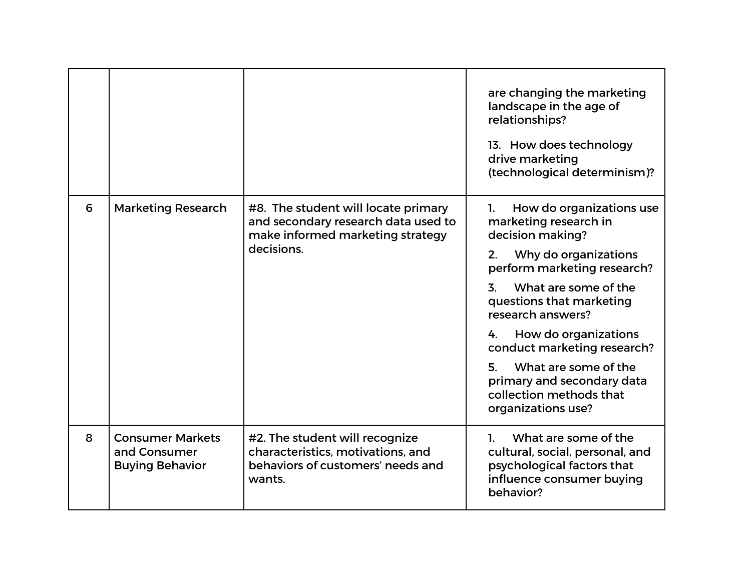|   |                                                                   |                                                                                                                              | are changing the marketing<br>landscape in the age of<br>relationships?<br>13. How does technology<br>drive marketing<br>(technological determinism)?                                                                                                                                                                                                                                             |
|---|-------------------------------------------------------------------|------------------------------------------------------------------------------------------------------------------------------|---------------------------------------------------------------------------------------------------------------------------------------------------------------------------------------------------------------------------------------------------------------------------------------------------------------------------------------------------------------------------------------------------|
| 6 | <b>Marketing Research</b>                                         | #8. The student will locate primary<br>and secondary research data used to<br>make informed marketing strategy<br>decisions. | How do organizations use<br>1.<br>marketing research in<br>decision making?<br>Why do organizations<br>2.<br>perform marketing research?<br>What are some of the<br>3.<br>questions that marketing<br>research answers?<br>How do organizations<br>4.<br>conduct marketing research?<br>What are some of the<br>5.<br>primary and secondary data<br>collection methods that<br>organizations use? |
| 8 | <b>Consumer Markets</b><br>and Consumer<br><b>Buying Behavior</b> | #2. The student will recognize<br>characteristics, motivations, and<br>behaviors of customers' needs and<br>wants.           | What are some of the<br>1.<br>cultural, social, personal, and<br>psychological factors that<br>influence consumer buying<br>behavior?                                                                                                                                                                                                                                                             |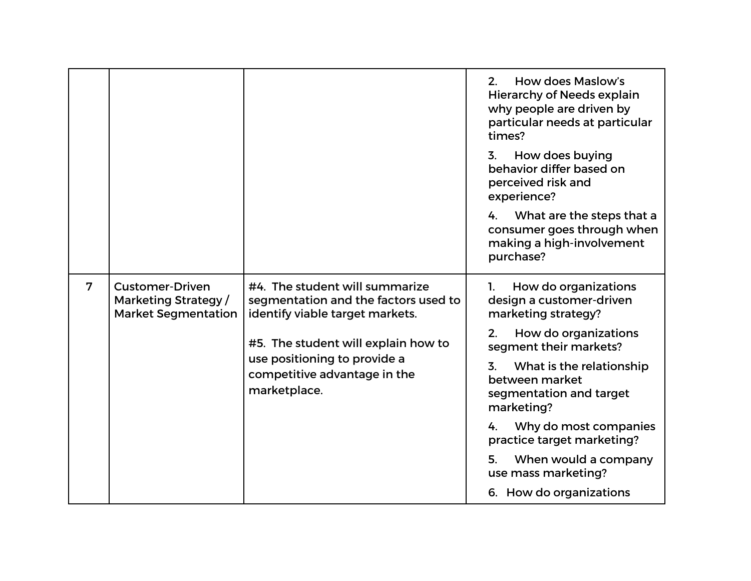|                |                                                                              |                                                                                                           | How does Maslow's<br>2.<br><b>Hierarchy of Needs explain</b><br>why people are driven by<br>particular needs at particular<br>times? |
|----------------|------------------------------------------------------------------------------|-----------------------------------------------------------------------------------------------------------|--------------------------------------------------------------------------------------------------------------------------------------|
|                |                                                                              |                                                                                                           | How does buying<br>3.<br>behavior differ based on<br>perceived risk and<br>experience?                                               |
|                |                                                                              |                                                                                                           | What are the steps that a<br>4.<br>consumer goes through when<br>making a high-involvement<br>purchase?                              |
| $\overline{7}$ | <b>Customer-Driven</b><br>Marketing Strategy /<br><b>Market Segmentation</b> | #4. The student will summarize<br>segmentation and the factors used to<br>identify viable target markets. | How do organizations<br>1.<br>design a customer-driven<br>marketing strategy?                                                        |
|                |                                                                              | #5. The student will explain how to                                                                       | How do organizations<br>2.<br>segment their markets?                                                                                 |
|                |                                                                              | use positioning to provide a<br>competitive advantage in the<br>marketplace.                              | What is the relationship<br>3.<br>between market<br>segmentation and target<br>marketing?                                            |
|                |                                                                              |                                                                                                           | Why do most companies<br>4.<br>practice target marketing?                                                                            |
|                |                                                                              |                                                                                                           | When would a company<br>5.<br>use mass marketing?                                                                                    |
|                |                                                                              |                                                                                                           | 6. How do organizations                                                                                                              |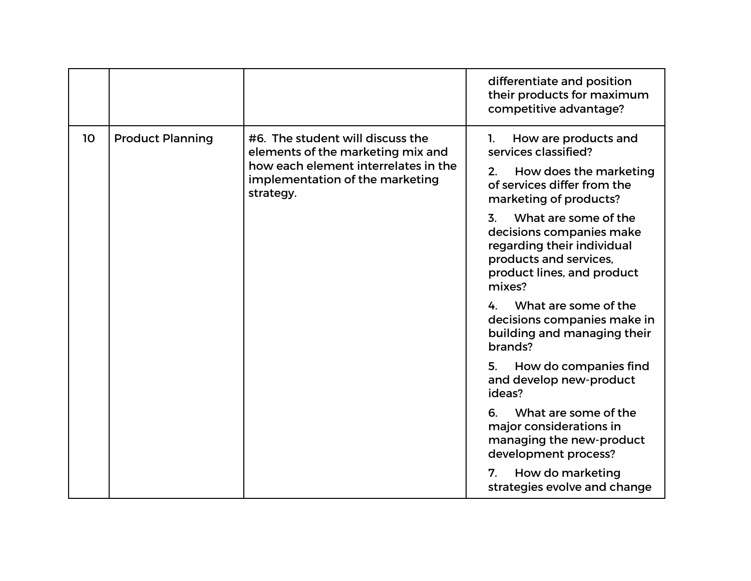|                               |                                                                                                                                                               | differentiate and position<br>their products for maximum<br>competitive advantage?                                                                                                                                                                                                                                                                                                                                                                                                                                                                                                                                                                     |
|-------------------------------|---------------------------------------------------------------------------------------------------------------------------------------------------------------|--------------------------------------------------------------------------------------------------------------------------------------------------------------------------------------------------------------------------------------------------------------------------------------------------------------------------------------------------------------------------------------------------------------------------------------------------------------------------------------------------------------------------------------------------------------------------------------------------------------------------------------------------------|
| 10<br><b>Product Planning</b> | #6. The student will discuss the<br>elements of the marketing mix and<br>how each element interrelates in the<br>implementation of the marketing<br>strategy. | How are products and<br>1.<br>services classified?<br>How does the marketing<br>2.<br>of services differ from the<br>marketing of products?<br>What are some of the<br>3.<br>decisions companies make<br>regarding their individual<br>products and services,<br>product lines, and product<br>mixes?<br>What are some of the<br>4<br>decisions companies make in<br>building and managing their<br>brands?<br>How do companies find<br>5.<br>and develop new-product<br>ideas?<br>What are some of the<br>6.<br>major considerations in<br>managing the new-product<br>development process?<br>How do marketing<br>7.<br>strategies evolve and change |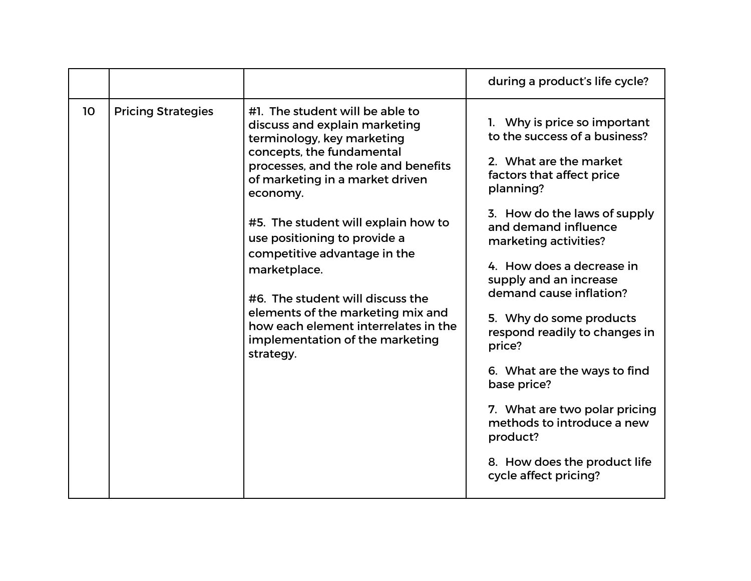|    |                           |                                                                                                                                                                                                                                                                                                                                                                                                                                                                                                            | during a product's life cycle?                                                                                                                                                                                                                                                                                                                                                                                                                                                                                                                                |
|----|---------------------------|------------------------------------------------------------------------------------------------------------------------------------------------------------------------------------------------------------------------------------------------------------------------------------------------------------------------------------------------------------------------------------------------------------------------------------------------------------------------------------------------------------|---------------------------------------------------------------------------------------------------------------------------------------------------------------------------------------------------------------------------------------------------------------------------------------------------------------------------------------------------------------------------------------------------------------------------------------------------------------------------------------------------------------------------------------------------------------|
| 10 | <b>Pricing Strategies</b> | #1. The student will be able to<br>discuss and explain marketing<br>terminology, key marketing<br>concepts, the fundamental<br>processes, and the role and benefits<br>of marketing in a market driven<br>economy.<br>#5. The student will explain how to<br>use positioning to provide a<br>competitive advantage in the<br>marketplace.<br>#6. The student will discuss the<br>elements of the marketing mix and<br>how each element interrelates in the<br>implementation of the marketing<br>strategy. | 1. Why is price so important<br>to the success of a business?<br>2. What are the market<br>factors that affect price<br>planning?<br>3. How do the laws of supply<br>and demand influence<br>marketing activities?<br>4. How does a decrease in<br>supply and an increase<br>demand cause inflation?<br>5. Why do some products<br>respond readily to changes in<br>price?<br>6. What are the ways to find<br>base price?<br>7. What are two polar pricing<br>methods to introduce a new<br>product?<br>8. How does the product life<br>cycle affect pricing? |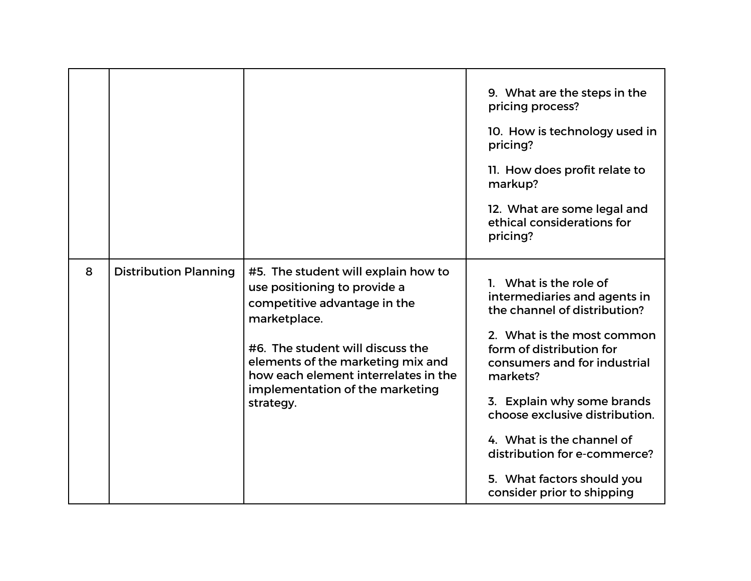|   |                              |                                                                                                                                                                                                                                                                                      | 9. What are the steps in the<br>pricing process?<br>10. How is technology used in<br>pricing?<br>11. How does profit relate to<br>markup?<br>12. What are some legal and<br>ethical considerations for<br>pricing?                                                                                                                                                                    |
|---|------------------------------|--------------------------------------------------------------------------------------------------------------------------------------------------------------------------------------------------------------------------------------------------------------------------------------|---------------------------------------------------------------------------------------------------------------------------------------------------------------------------------------------------------------------------------------------------------------------------------------------------------------------------------------------------------------------------------------|
| 8 | <b>Distribution Planning</b> | #5. The student will explain how to<br>use positioning to provide a<br>competitive advantage in the<br>marketplace.<br>#6. The student will discuss the<br>elements of the marketing mix and<br>how each element interrelates in the<br>implementation of the marketing<br>strategy. | 1. What is the role of<br>intermediaries and agents in<br>the channel of distribution?<br>2. What is the most common<br>form of distribution for<br>consumers and for industrial<br>markets?<br>3. Explain why some brands<br>choose exclusive distribution.<br>4. What is the channel of<br>distribution for e-commerce?<br>5. What factors should you<br>consider prior to shipping |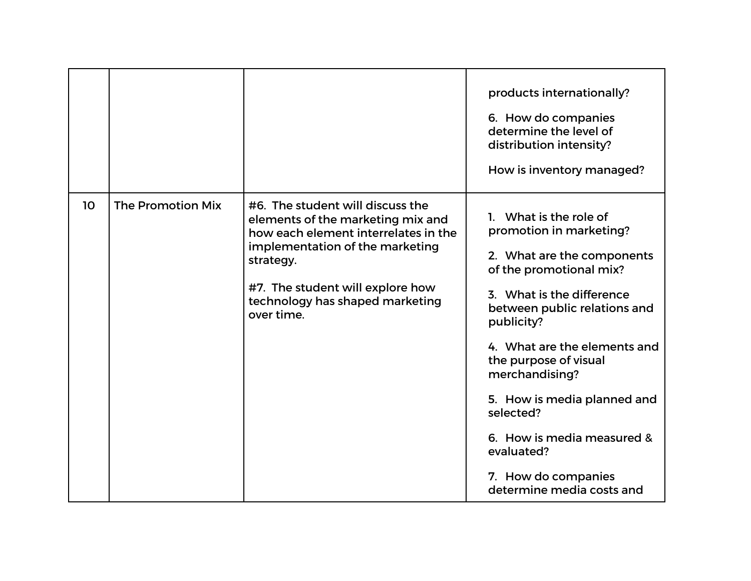|    |                   |                                                                                                                                                                                                                                                    | products internationally?<br>6. How do companies<br>determine the level of<br>distribution intensity?<br>How is inventory managed?                                                                                                                                                                                                                                                                           |
|----|-------------------|----------------------------------------------------------------------------------------------------------------------------------------------------------------------------------------------------------------------------------------------------|--------------------------------------------------------------------------------------------------------------------------------------------------------------------------------------------------------------------------------------------------------------------------------------------------------------------------------------------------------------------------------------------------------------|
| 10 | The Promotion Mix | #6. The student will discuss the<br>elements of the marketing mix and<br>how each element interrelates in the<br>implementation of the marketing<br>strategy.<br>#7. The student will explore how<br>technology has shaped marketing<br>over time. | 1. What is the role of<br>promotion in marketing?<br>2. What are the components<br>of the promotional mix?<br>3. What is the difference<br>between public relations and<br>publicity?<br>4. What are the elements and<br>the purpose of visual<br>merchandising?<br>5. How is media planned and<br>selected?<br>6. How is media measured &<br>evaluated?<br>7. How do companies<br>determine media costs and |